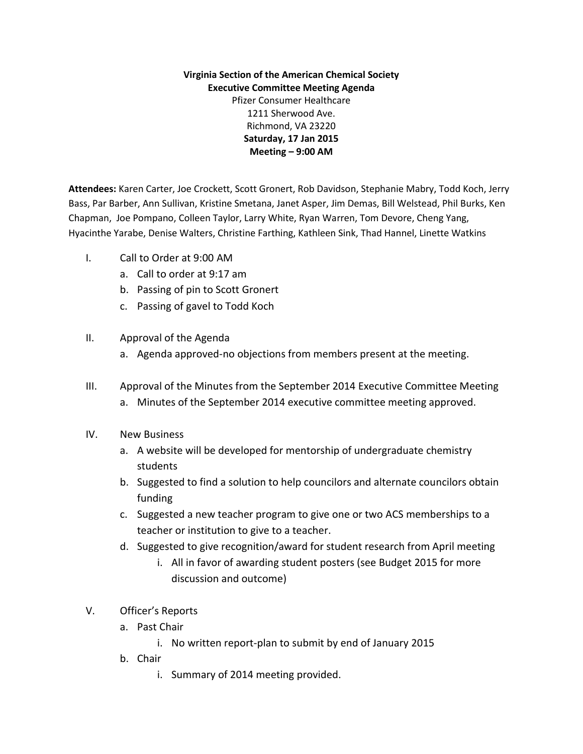**Virginia Section of the American Chemical Society Executive Committee Meeting Agenda** Pfizer Consumer Healthcare 1211 Sherwood Ave. Richmond, VA 23220 **Saturday, 17 Jan 2015 Meeting – 9:00 AM**

**Attendees:** Karen Carter, Joe Crockett, Scott Gronert, Rob Davidson, Stephanie Mabry, Todd Koch, Jerry Bass, Par Barber, Ann Sullivan, Kristine Smetana, Janet Asper, Jim Demas, Bill Welstead, Phil Burks, Ken Chapman, Joe Pompano, Colleen Taylor, Larry White, Ryan Warren, Tom Devore, Cheng Yang, Hyacinthe Yarabe, Denise Walters, Christine Farthing, Kathleen Sink, Thad Hannel, Linette Watkins

- I. Call to Order at 9:00 AM
	- a. Call to order at 9:17 am
	- b. Passing of pin to Scott Gronert
	- c. Passing of gavel to Todd Koch
- II. Approval of the Agenda
	- a. Agenda approved-no objections from members present at the meeting.
- III. Approval of the Minutes from the September 2014 Executive Committee Meeting a. Minutes of the September 2014 executive committee meeting approved.
- IV. New Business
	- a. A website will be developed for mentorship of undergraduate chemistry students
	- b. Suggested to find a solution to help councilors and alternate councilors obtain funding
	- c. Suggested a new teacher program to give one or two ACS memberships to a teacher or institution to give to a teacher.
	- d. Suggested to give recognition/award for student research from April meeting
		- i. All in favor of awarding student posters (see Budget 2015 for more discussion and outcome)
- V. Officer's Reports
	- a. Past Chair
		- i. No written report-plan to submit by end of January 2015
	- b. Chair
		- i. Summary of 2014 meeting provided.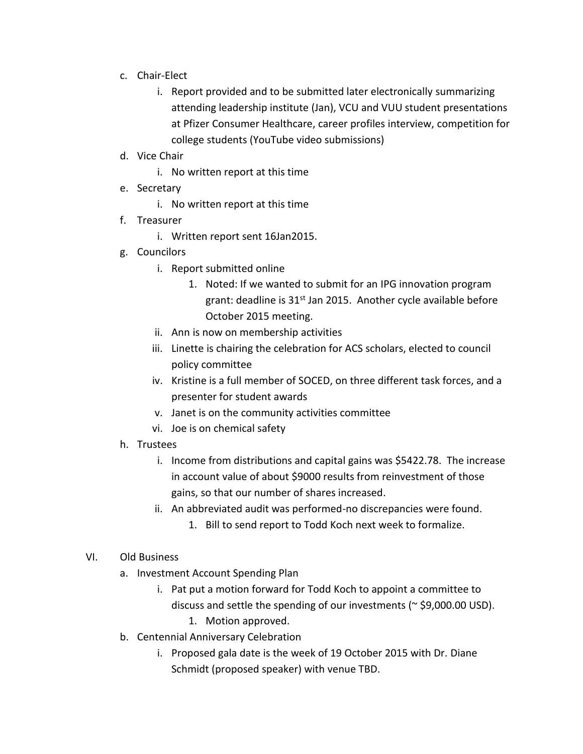- c. Chair-Elect
	- i. Report provided and to be submitted later electronically summarizing attending leadership institute (Jan), VCU and VUU student presentations at Pfizer Consumer Healthcare, career profiles interview, competition for college students (YouTube video submissions)
- d. Vice Chair
	- i. No written report at this time
- e. Secretary
	- i. No written report at this time
- f. Treasurer
	- i. Written report sent 16Jan2015.
- g. Councilors
	- i. Report submitted online
		- 1. Noted: If we wanted to submit for an IPG innovation program grant: deadline is 31<sup>st</sup> Jan 2015. Another cycle available before October 2015 meeting.
	- ii. Ann is now on membership activities
	- iii. Linette is chairing the celebration for ACS scholars, elected to council policy committee
	- iv. Kristine is a full member of SOCED, on three different task forces, and a presenter for student awards
	- v. Janet is on the community activities committee
	- vi. Joe is on chemical safety
- h. Trustees
	- i. Income from distributions and capital gains was \$5422.78. The increase in account value of about \$9000 results from reinvestment of those gains, so that our number of shares increased.
	- ii. An abbreviated audit was performed-no discrepancies were found.
		- 1. Bill to send report to Todd Koch next week to formalize.
- VI. Old Business
	- a. Investment Account Spending Plan
		- i. Pat put a motion forward for Todd Koch to appoint a committee to discuss and settle the spending of our investments ( $\approx$  \$9,000.00 USD).
			- 1. Motion approved.
	- b. Centennial Anniversary Celebration
		- i. Proposed gala date is the week of 19 October 2015 with Dr. Diane Schmidt (proposed speaker) with venue TBD.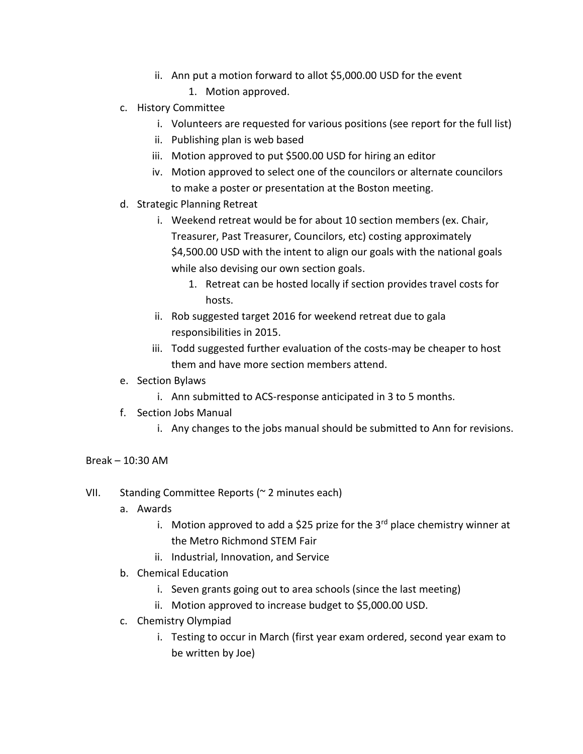- ii. Ann put a motion forward to allot \$5,000.00 USD for the event
	- 1. Motion approved.
- c. History Committee
	- i. Volunteers are requested for various positions (see report for the full list)
	- ii. Publishing plan is web based
	- iii. Motion approved to put \$500.00 USD for hiring an editor
	- iv. Motion approved to select one of the councilors or alternate councilors to make a poster or presentation at the Boston meeting.
- d. Strategic Planning Retreat
	- i. Weekend retreat would be for about 10 section members (ex. Chair, Treasurer, Past Treasurer, Councilors, etc) costing approximately \$4,500.00 USD with the intent to align our goals with the national goals while also devising our own section goals.
		- 1. Retreat can be hosted locally if section provides travel costs for hosts.
	- ii. Rob suggested target 2016 for weekend retreat due to gala responsibilities in 2015.
	- iii. Todd suggested further evaluation of the costs-may be cheaper to host them and have more section members attend.
- e. Section Bylaws
	- i. Ann submitted to ACS-response anticipated in 3 to 5 months.
- f. Section Jobs Manual
	- i. Any changes to the jobs manual should be submitted to Ann for revisions.

## $Break = 10:30 AM$

- VII. Standing Committee Reports (~ 2 minutes each)
	- a. Awards
		- i. Motion approved to add a \$25 prize for the  $3<sup>rd</sup>$  place chemistry winner at the Metro Richmond STEM Fair
		- ii. Industrial, Innovation, and Service
	- b. Chemical Education
		- i. Seven grants going out to area schools (since the last meeting)
		- ii. Motion approved to increase budget to \$5,000.00 USD.
	- c. Chemistry Olympiad
		- i. Testing to occur in March (first year exam ordered, second year exam to be written by Joe)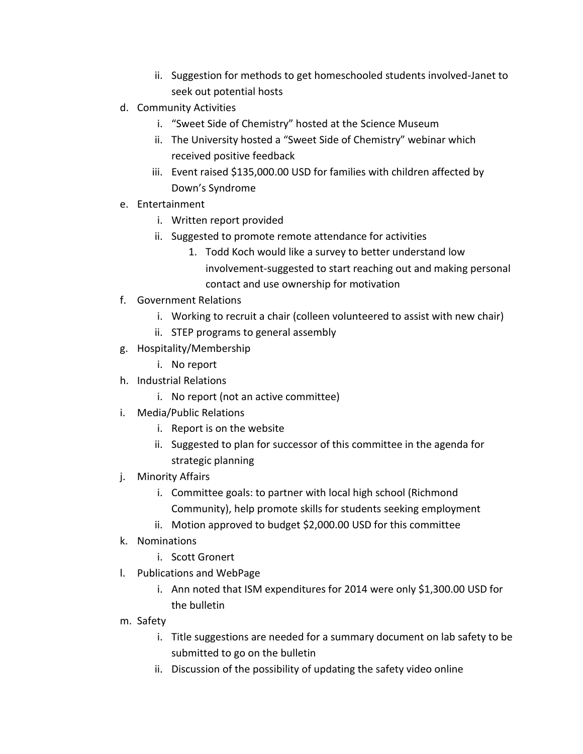- ii. Suggestion for methods to get homeschooled students involved-Janet to seek out potential hosts
- d. Community Activities
	- i. "Sweet Side of Chemistry" hosted at the Science Museum
	- ii. The University hosted a "Sweet Side of Chemistry" webinar which received positive feedback
	- iii. Event raised \$135,000.00 USD for families with children affected by Down's Syndrome
- e. Entertainment
	- i. Written report provided
	- ii. Suggested to promote remote attendance for activities
		- 1. Todd Koch would like a survey to better understand low involvement-suggested to start reaching out and making personal contact and use ownership for motivation
- f. Government Relations
	- i. Working to recruit a chair (colleen volunteered to assist with new chair)
	- ii. STEP programs to general assembly
- g. Hospitality/Membership
	- i. No report
- h. Industrial Relations
	- i. No report (not an active committee)
- i. Media/Public Relations
	- i. Report is on the website
	- ii. Suggested to plan for successor of this committee in the agenda for strategic planning
- j. Minority Affairs
	- i. Committee goals: to partner with local high school (Richmond Community), help promote skills for students seeking employment
	- ii. Motion approved to budget \$2,000.00 USD for this committee
- k. Nominations
	- i. Scott Gronert
- l. Publications and WebPage
	- i. Ann noted that ISM expenditures for 2014 were only \$1,300.00 USD for the bulletin
- m. Safety
	- i. Title suggestions are needed for a summary document on lab safety to be submitted to go on the bulletin
	- ii. Discussion of the possibility of updating the safety video online